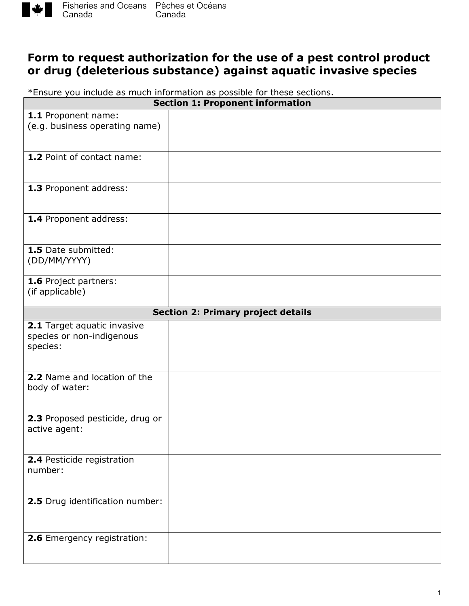

## **Form to request authorization for the use of a pest control product or drug (deleterious substance) against aquatic invasive species**

\*Ensure you include as much information as possible for these sections.

| <b>Section 1: Proponent information</b>                  |                                           |  |
|----------------------------------------------------------|-------------------------------------------|--|
| 1.1 Proponent name:                                      |                                           |  |
| (e.g. business operating name)                           |                                           |  |
|                                                          |                                           |  |
| 1.2 Point of contact name:                               |                                           |  |
|                                                          |                                           |  |
|                                                          |                                           |  |
| 1.3 Proponent address:                                   |                                           |  |
|                                                          |                                           |  |
| 1.4 Proponent address:                                   |                                           |  |
|                                                          |                                           |  |
|                                                          |                                           |  |
| 1.5 Date submitted:<br>(DD/MM/YYYY)                      |                                           |  |
|                                                          |                                           |  |
| 1.6 Project partners:                                    |                                           |  |
| (if applicable)                                          |                                           |  |
|                                                          | <b>Section 2: Primary project details</b> |  |
|                                                          |                                           |  |
| 2.1 Target aquatic invasive<br>species or non-indigenous |                                           |  |
| species:                                                 |                                           |  |
|                                                          |                                           |  |
|                                                          |                                           |  |
| 2.2 Name and location of the<br>body of water:           |                                           |  |
|                                                          |                                           |  |
|                                                          |                                           |  |
| 2.3 Proposed pesticide, drug or                          |                                           |  |
| active agent:                                            |                                           |  |
|                                                          |                                           |  |
| 2.4 Pesticide registration                               |                                           |  |
| number:                                                  |                                           |  |
|                                                          |                                           |  |
| 2.5 Drug identification number:                          |                                           |  |
|                                                          |                                           |  |
|                                                          |                                           |  |
| 2.6 Emergency registration:                              |                                           |  |
|                                                          |                                           |  |
|                                                          |                                           |  |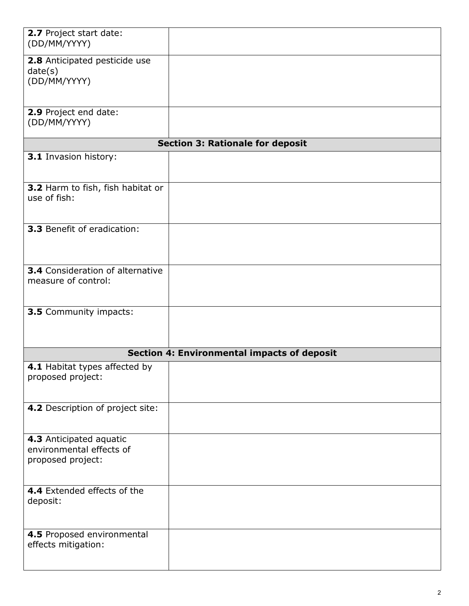| 2.7 Project start date:<br>(DD/MM/YYYY)                                  |  |  |
|--------------------------------------------------------------------------|--|--|
| 2.8 Anticipated pesticide use<br>date(s)<br>(DD/MM/YYYY)                 |  |  |
| 2.9 Project end date:<br>(DD/MM/YYYY)                                    |  |  |
| <b>Section 3: Rationale for deposit</b>                                  |  |  |
| 3.1 Invasion history:                                                    |  |  |
| 3.2 Harm to fish, fish habitat or<br>use of fish:                        |  |  |
| 3.3 Benefit of eradication:                                              |  |  |
| <b>3.4</b> Consideration of alternative<br>measure of control:           |  |  |
| 3.5 Community impacts:                                                   |  |  |
| <b>Section 4: Environmental impacts of deposit</b>                       |  |  |
| 4.1 Habitat types affected by<br>proposed project:                       |  |  |
| 4.2 Description of project site:                                         |  |  |
| 4.3 Anticipated aquatic<br>environmental effects of<br>proposed project: |  |  |
| 4.4 Extended effects of the<br>deposit:                                  |  |  |
| 4.5 Proposed environmental<br>effects mitigation:                        |  |  |